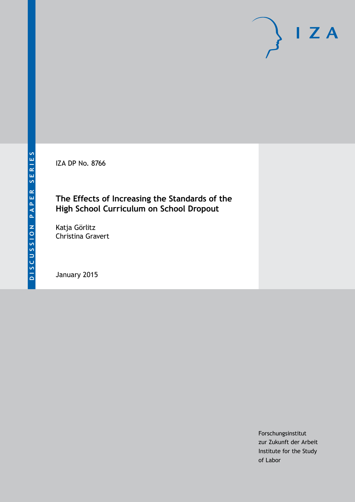IZA DP No. 8766

# **The Effects of Increasing the Standards of the High School Curriculum on School Dropout**

Katja Görlitz Christina Gravert

January 2015

Forschungsinstitut zur Zukunft der Arbeit Institute for the Study of Labor

 $I Z A$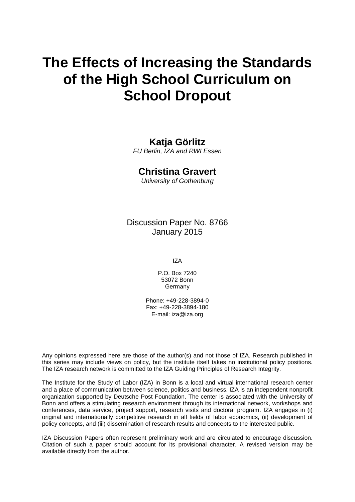# **The Effects of Increasing the Standards of the High School Curriculum on School Dropout**

# **Katja Görlitz**

*FU Berlin, IZA and RWI Essen*

# **Christina Gravert**

*University of Gothenburg*

Discussion Paper No. 8766 January 2015

IZA

P.O. Box 7240 53072 Bonn Germany

Phone: +49-228-3894-0 Fax: +49-228-3894-180 E-mail: [iza@iza.org](mailto:iza@iza.org)

Any opinions expressed here are those of the author(s) and not those of IZA. Research published in this series may include views on policy, but the institute itself takes no institutional policy positions. The IZA research network is committed to the IZA Guiding Principles of Research Integrity.

The Institute for the Study of Labor (IZA) in Bonn is a local and virtual international research center and a place of communication between science, politics and business. IZA is an independent nonprofit organization supported by Deutsche Post Foundation. The center is associated with the University of Bonn and offers a stimulating research environment through its international network, workshops and conferences, data service, project support, research visits and doctoral program. IZA engages in (i) original and internationally competitive research in all fields of labor economics, (ii) development of policy concepts, and (iii) dissemination of research results and concepts to the interested public.

<span id="page-1-0"></span>IZA Discussion Papers often represent preliminary work and are circulated to encourage discussion. Citation of such a paper should account for its provisional character. A revised version may be available directly from the author.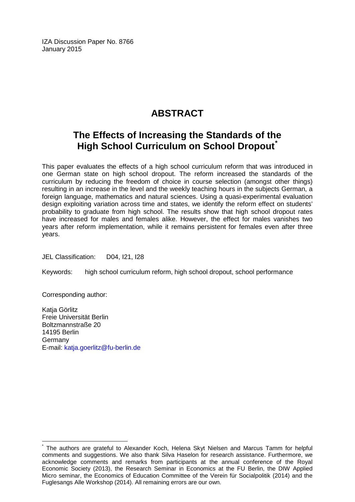IZA Discussion Paper No. 8766 January 2015

# **ABSTRACT**

# **The Effects of Increasing the Standards of the High School Curriculum on School Dropout[\\*](#page-1-0)**

This paper evaluates the effects of a high school curriculum reform that was introduced in one German state on high school dropout. The reform increased the standards of the curriculum by reducing the freedom of choice in course selection (amongst other things) resulting in an increase in the level and the weekly teaching hours in the subjects German, a foreign language, mathematics and natural sciences. Using a quasi-experimental evaluation design exploiting variation across time and states, we identify the reform effect on students' probability to graduate from high school. The results show that high school dropout rates have increased for males and females alike. However, the effect for males vanishes two years after reform implementation, while it remains persistent for females even after three years.

JEL Classification: D04, I21, I28

Keywords: high school curriculum reform, high school dropout, school performance

Corresponding author:

Katja Görlitz Freie Universität Berlin Boltzmannstraße 20 14195 Berlin Germany E-mail: [katja.goerlitz@fu-berlin.de](mailto:katja.goerlitz@fu-berlin.de)

The authors are grateful to Alexander Koch, Helena Skyt Nielsen and Marcus Tamm for helpful comments and suggestions. We also thank Silva Haselon for research assistance. Furthermore, we acknowledge comments and remarks from participants at the annual conference of the Royal Economic Society (2013), the Research Seminar in Economics at the FU Berlin, the DIW Applied Micro seminar, the Economics of Education Committee of the Verein für Socialpolitik (2014) and the Fuglesangs Alle Workshop (2014). All remaining errors are our own.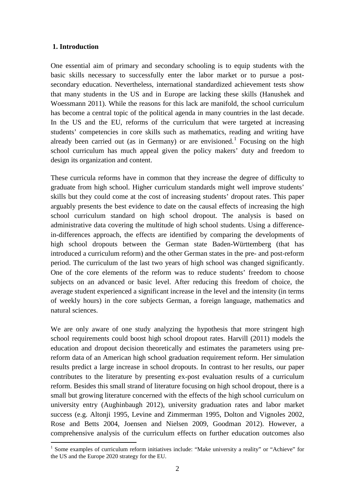## **1. Introduction**

One essential aim of primary and secondary schooling is to equip students with the basic skills necessary to successfully enter the labor market or to pursue a postsecondary education. Nevertheless, international standardized achievement tests show that many students in the US and in Europe are lacking these skills (Hanushek and Woessmann 2011). While the reasons for this lack are manifold, the school curriculum has become a central topic of the political agenda in many countries in the last decade. In the US and the EU, reforms of the curriculum that were targeted at increasing students' competencies in core skills such as mathematics, reading and writing have already been carried out (as in Germany) or are envisioned.<sup>1</sup> Focusing on the high school curriculum has much appeal given the policy makers' duty and freedom to design its organization and content.

These curricula reforms have in common that they increase the degree of difficulty to graduate from high school. Higher curriculum standards might well improve students' skills but they could come at the cost of increasing students' dropout rates. This paper arguably presents the best evidence to date on the causal effects of increasing the high school curriculum standard on high school dropout. The analysis is based on administrative data covering the multitude of high school students. Using a differencein-differences approach, the effects are identified by comparing the developments of high school dropouts between the German state Baden-Württemberg (that has introduced a curriculum reform) and the other German states in the pre- and post-reform period. The curriculum of the last two years of high school was changed significantly. One of the core elements of the reform was to reduce students' freedom to choose subjects on an advanced or basic level. After reducing this freedom of choice, the average student experienced a significant increase in the level and the intensity (in terms of weekly hours) in the core subjects German, a foreign language, mathematics and natural sciences.

We are only aware of one study analyzing the hypothesis that more stringent high school requirements could boost high school dropout rates. Harvill (2011) models the education and dropout decision theoretically and estimates the parameters using prereform data of an American high school graduation requirement reform. Her simulation results predict a large increase in school dropouts. In contrast to her results, our paper contributes to the literature by presenting ex-post evaluation results of a curriculum reform. Besides this small strand of literature focusing on high school dropout, there is a small but growing literature concerned with the effects of the high school curriculum on university entry (Aughinbaugh 2012), university graduation rates and labor market success (e.g. Altonji 1995, Levine and Zimmerman 1995, Dolton and Vignoles 2002, Rose and Betts 2004, Joensen and Nielsen 2009, Goodman 2012). However, a comprehensive analysis of the curriculum effects on further education outcomes also

<span id="page-3-0"></span><sup>&</sup>lt;sup>1</sup> Some examples of curriculum reform initiatives include: "Make university a reality" or "Achieve" for the US and the Europe 2020 strategy for the EU.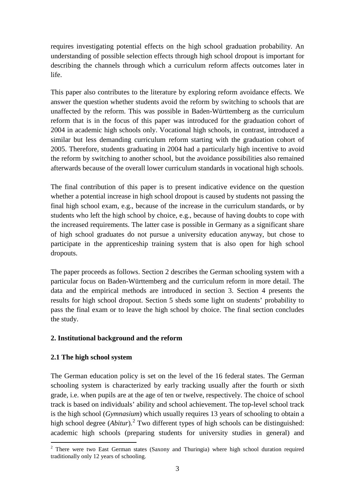requires investigating potential effects on the high school graduation probability. An understanding of possible selection effects through high school dropout is important for describing the channels through which a curriculum reform affects outcomes later in life.

This paper also contributes to the literature by exploring reform avoidance effects. We answer the question whether students avoid the reform by switching to schools that are unaffected by the reform. This was possible in Baden-Württemberg as the curriculum reform that is in the focus of this paper was introduced for the graduation cohort of 2004 in academic high schools only. Vocational high schools, in contrast, introduced a similar but less demanding curriculum reform starting with the graduation cohort of 2005. Therefore, students graduating in 2004 had a particularly high incentive to avoid the reform by switching to another school, but the avoidance possibilities also remained afterwards because of the overall lower curriculum standards in vocational high schools.

The final contribution of this paper is to present indicative evidence on the question whether a potential increase in high school dropout is caused by students not passing the final high school exam, e.g., because of the increase in the curriculum standards, or by students who left the high school by choice, e.g., because of having doubts to cope with the increased requirements. The latter case is possible in Germany as a significant share of high school graduates do not pursue a university education anyway, but chose to participate in the apprenticeship training system that is also open for high school dropouts.

The paper proceeds as follows. Section 2 describes the German schooling system with a particular focus on Baden-Württemberg and the curriculum reform in more detail. The data and the empirical methods are introduced in section 3. Section 4 presents the results for high school dropout. Section 5 sheds some light on students' probability to pass the final exam or to leave the high school by choice. The final section concludes the study.

# **2. Institutional background and the reform**

# **2.1 The high school system**

The German education policy is set on the level of the 16 federal states. The German schooling system is characterized by early tracking usually after the fourth or sixth grade, i.e. when pupils are at the age of ten or twelve, respectively. The choice of school track is based on individuals' ability and school achievement. The top-level school track is the high school (*Gymnasium*) which usually requires 13 years of schooling to obtain a high school degree (*Abitur*). [2](#page-3-0) Two different types of high schools can be distinguished: academic high schools (preparing students for university studies in general) and

<span id="page-4-0"></span><sup>&</sup>lt;sup>2</sup> There were two East German states (Saxony and Thuringia) where high school duration required traditionally only 12 years of schooling.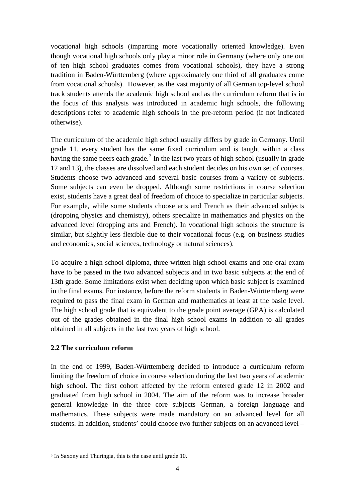vocational high schools (imparting more vocationally oriented knowledge). Even though vocational high schools only play a minor role in Germany (where only one out of ten high school graduates comes from vocational schools), they have a strong tradition in Baden-Württemberg (where approximately one third of all graduates come from vocational schools). However, as the vast majority of all German top-level school track students attends the academic high school and as the curriculum reform that is in the focus of this analysis was introduced in academic high schools, the following descriptions refer to academic high schools in the pre-reform period (if not indicated otherwise).

The curriculum of the academic high school usually differs by grade in Germany. Until grade 11, every student has the same fixed curriculum and is taught within a class having the same peers each grade.<sup>[3](#page-4-0)</sup> In the last two years of high school (usually in grade 12 and 13), the classes are dissolved and each student decides on his own set of courses. Students choose two advanced and several basic courses from a variety of subjects. Some subjects can even be dropped. Although some restrictions in course selection exist, students have a great deal of freedom of choice to specialize in particular subjects. For example, while some students choose arts and French as their advanced subjects (dropping physics and chemistry), others specialize in mathematics and physics on the advanced level (dropping arts and French). In vocational high schools the structure is similar, but slightly less flexible due to their vocational focus (e.g. on business studies and economics, social sciences, technology or natural sciences).

To acquire a high school diploma, three written high school exams and one oral exam have to be passed in the two advanced subjects and in two basic subjects at the end of 13th grade. Some limitations exist when deciding upon which basic subject is examined in the final exams. For instance, before the reform students in Baden-Württemberg were required to pass the final exam in German and mathematics at least at the basic level. The high school grade that is equivalent to the grade point average (GPA) is calculated out of the grades obtained in the final high school exams in addition to all grades obtained in all subjects in the last two years of high school.

# **2.2 The curriculum reform**

In the end of 1999, Baden-Württemberg decided to introduce a curriculum reform limiting the freedom of choice in course selection during the last two years of academic high school. The first cohort affected by the reform entered grade 12 in 2002 and graduated from high school in 2004. The aim of the reform was to increase broader general knowledge in the three core subjects German, a foreign language and mathematics. These subjects were made mandatory on an advanced level for all students. In addition, students' could choose two further subjects on an advanced level –

<span id="page-5-0"></span> <sup>3</sup> In Saxony and Thuringia, this is the case until grade 10.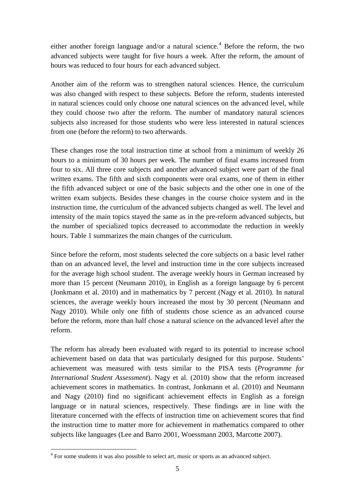either another foreign language and/or a natural science.<sup>[4](#page-5-0)</sup> Before the reform, the two advanced subjects were taught for five hours a week. After the reform, the amount of hours was reduced to four hours for each advanced subject.

Another aim of the reform was to strengthen natural sciences. Hence, the curriculum was also changed with respect to these subjects. Before the reform, students interested in natural sciences could only choose one natural sciences on the advanced level, while they could choose two after the reform. The number of mandatory natural sciences subjects also increased for those students who were less interested in natural sciences from one (before the reform) to two afterwards.

These changes rose the total instruction time at school from a minimum of weekly 26 hours to a minimum of 30 hours per week. The number of final exams increased from four to six. All three core subjects and another advanced subject were part of the final written exams. The fifth and sixth components were oral exams, one of them in either the fifth advanced subject or one of the basic subjects and the other one in one of the written exam subjects. Besides these changes in the course choice system and in the instruction time, the curriculum of the advanced subjects changed as well. The level and intensity of the main topics stayed the same as in the pre-reform advanced subjects, but the number of specialized topics decreased to accommodate the reduction in weekly hours. Table 1 summarizes the main changes of the curriculum.

Since before the reform, most students selected the core subjects on a basic level rather than on an advanced level, the level and instruction time in the core subjects increased for the average high school student. The average weekly hours in German increased by more than 15 percent (Neumann 2010), in English as a foreign language by 6 percent (Jonkmann et al. 2010) and in mathematics by 7 percent (Nagy et al. 2010). In natural sciences, the average weekly hours increased the most by 30 percent (Neumann and Nagy 2010). While only one fifth of students chose science as an advanced course before the reform, more than half chose a natural science on the advanced level after the reform.

The reform has already been evaluated with regard to its potential to increase school achievement based on data that was particularly designed for this purpose. Students' achievement was measured with tests similar to the PISA tests (*Programme for International Student Assessment*). Nagy et al. (2010) show that the reform increased achievement scores in mathematics. In contrast, Jonkmann et al. (2010) and Neumann and Nagy (2010) find no significant achievement effects in English as a foreign language or in natural sciences, respectively. These findings are in line with the literature concerned with the effects of instruction time on achievement scores that find the instruction time to matter more for achievement in mathematics compared to other subjects like languages (Lee and Barro 2001, Woessmann 2003, Marcotte 2007).

<span id="page-6-0"></span><sup>&</sup>lt;sup>4</sup> For some students it was also possible to select art, music or sports as an advanced subject.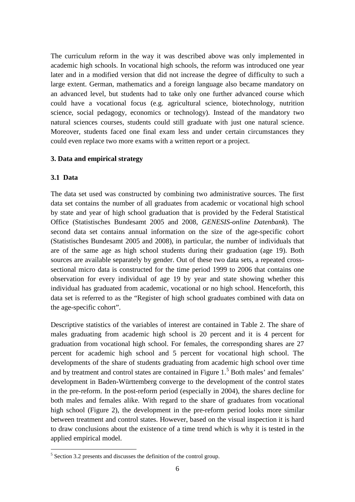The curriculum reform in the way it was described above was only implemented in academic high schools. In vocational high schools, the reform was introduced one year later and in a modified version that did not increase the degree of difficulty to such a large extent. German, mathematics and a foreign language also became mandatory on an advanced level, but students had to take only one further advanced course which could have a vocational focus (e.g. agricultural science, biotechnology, nutrition science, social pedagogy, economics or technology). Instead of the mandatory two natural sciences courses, students could still graduate with just one natural science. Moreover, students faced one final exam less and under certain circumstances they could even replace two more exams with a written report or a project.

## **3. Data and empirical strategy**

## **3.1 Data**

The data set used was constructed by combining two administrative sources. The first data set contains the number of all graduates from academic or vocational high school by state and year of high school graduation that is provided by the Federal Statistical Office (Statistisches Bundesamt 2005 and 2008, *GENESIS-online Datenbank*). The second data set contains annual information on the size of the age-specific cohort (Statistisches Bundesamt 2005 and 2008), in particular, the number of individuals that are of the same age as high school students during their graduation (age 19). Both sources are available separately by gender. Out of these two data sets, a repeated crosssectional micro data is constructed for the time period 1999 to 2006 that contains one observation for every individual of age 19 by year and state showing whether this individual has graduated from academic, vocational or no high school. Henceforth, this data set is referred to as the "Register of high school graduates combined with data on the age-specific cohort".

Descriptive statistics of the variables of interest are contained in Table 2. The share of males graduating from academic high school is 20 percent and it is 4 percent for graduation from vocational high school. For females, the corresponding shares are 27 percent for academic high school and 5 percent for vocational high school. The developments of the share of students graduating from academic high school over time and by treatment and control states are contained in Figure  $1<sup>5</sup>$  $1<sup>5</sup>$  $1<sup>5</sup>$  Both males' and females' development in Baden-Württemberg converge to the development of the control states in the pre-reform. In the post-reform period (especially in 2004), the shares decline for both males and females alike. With regard to the share of graduates from vocational high school (Figure 2), the development in the pre-reform period looks more similar between treatment and control states. However, based on the visual inspection it is hard to draw conclusions about the existence of a time trend which is why it is tested in the applied empirical model.

<span id="page-7-0"></span> $5$  Section 3.2 presents and discusses the definition of the control group.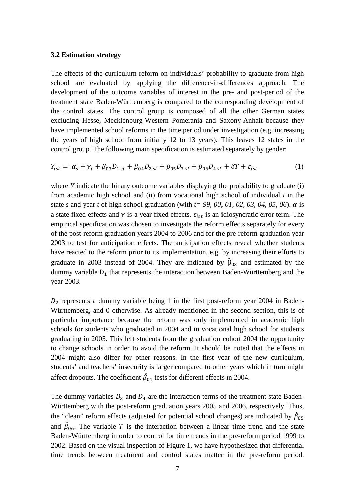#### **3.2 Estimation strategy**

The effects of the curriculum reform on individuals' probability to graduate from high school are evaluated by applying the difference-in-differences approach. The development of the outcome variables of interest in the pre- and post-period of the treatment state Baden-Württemberg is compared to the corresponding development of the control states. The control group is composed of all the other German states excluding Hesse, Mecklenburg-Western Pomerania and Saxony-Anhalt because they have implemented school reforms in the time period under investigation (e.g. increasing the years of high school from initially 12 to 13 years). This leaves 12 states in the control group. The following main specification is estimated separately by gender:

$$
Y_{ist} = \alpha_s + \gamma_t + \beta_{03} D_{1\,st} + \beta_{04} D_{2\,st} + \beta_{05} D_{3\,st} + \beta_{06} D_{4\,st} + \delta T + \varepsilon_{ist} \tag{1}
$$

where *Y* indicate the binary outcome variables displaying the probability to graduate (i) from academic high school and (ii) from vocational high school of individual *i* in the state *s* and year *t* of high school graduation (with  $t=$  99, 00, 01, 02, 03, 04, 05, 06).  $\alpha$  is a state fixed effects and  $\gamma$  is a year fixed effects.  $\varepsilon_{ist}$  is an idiosyncratic error term. The empirical specification was chosen to investigate the reform effects separately for every of the post-reform graduation years 2004 to 2006 and for the pre-reform graduation year 2003 to test for anticipation effects. The anticipation effects reveal whether students have reacted to the reform prior to its implementation, e.g. by increasing their efforts to graduate in 2003 instead of 2004. They are indicated by  $\hat{\beta}_{03}$  and estimated by the dummy variable  $D_1$  that represents the interaction between Baden-Württemberg and the year 2003.

 $D_2$  represents a dummy variable being 1 in the first post-reform year 2004 in Baden-Württemberg, and 0 otherwise. As already mentioned in the second section, this is of particular importance because the reform was only implemented in academic high schools for students who graduated in 2004 and in vocational high school for students graduating in 2005. This left students from the graduation cohort 2004 the opportunity to change schools in order to avoid the reform. It should be noted that the effects in 2004 might also differ for other reasons. In the first year of the new curriculum, students' and teachers' insecurity is larger compared to other years which in turn might affect dropouts. The coefficient  $\beta_{04}$  tests for different effects in 2004.

The dummy variables  $D_3$  and  $D_4$  are the interaction terms of the treatment state Baden-Württemberg with the post-reform graduation years 2005 and 2006, respectively. Thus, the "clean" reform effects (adjusted for potential school changes) are indicated by  $\hat{\beta}_{05}$ and  $\beta_{06}$ . The variable T is the interaction between a linear time trend and the state Baden-Württemberg in order to control for time trends in the pre-reform period 1999 to 2002. Based on the visual inspection of Figure 1, we have hypothesized that differential time trends between treatment and control states matter in the pre-reform period.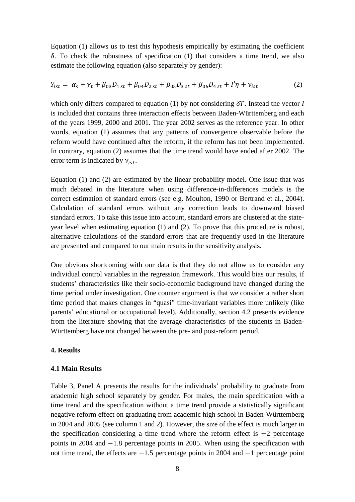Equation (1) allows us to test this hypothesis empirically by estimating the coefficient  $\delta$ . To check the robustness of specification (1) that considers a time trend, we also estimate the following equation (also separately by gender):

$$
Y_{ist} = \alpha_s + \gamma_t + \beta_{03} D_{1\,st} + \beta_{04} D_{2\,st} + \beta_{05} D_{3\,st} + \beta_{06} D_{4\,st} + I'\eta + \nu_{ist} \tag{2}
$$

which only differs compared to equation (1) by not considering  $\delta T$ . Instead the vector *I* is included that contains three interaction effects between Baden-Württemberg and each of the years 1999, 2000 and 2001. The year 2002 serves as the reference year. In other words, equation (1) assumes that any patterns of convergence observable before the reform would have continued after the reform, if the reform has not been implemented. In contrary, equation (2) assumes that the time trend would have ended after 2002. The error term is indicated by  $v_{ist}$ .

Equation (1) and (2) are estimated by the linear probability model. One issue that was much debated in the literature when using difference-in-differences models is the correct estimation of standard errors (see e.g. Moulton, 1990 or Bertrand et al., 2004). Calculation of standard errors without any correction leads to downward biased standard errors. To take this issue into account, standard errors are clustered at the stateyear level when estimating equation (1) and (2). To prove that this procedure is robust, alternative calculations of the standard errors that are frequently used in the literature are presented and compared to our main results in the sensitivity analysis.

One obvious shortcoming with our data is that they do not allow us to consider any individual control variables in the regression framework. This would bias our results, if students' characteristics like their socio-economic background have changed during the time period under investigation. One counter argument is that we consider a rather short time period that makes changes in "quasi" time-invariant variables more unlikely (like parents' educational or occupational level). Additionally, section 4.2 presents evidence from the literature showing that the average characteristics of the students in Baden-Württemberg have not changed between the pre- and post-reform period.

### **4. Results**

## **4.1 Main Results**

Table 3, Panel A presents the results for the individuals' probability to graduate from academic high school separately by gender. For males, the main specification with a time trend and the specification without a time trend provide a statistically significant negative reform effect on graduating from academic high school in Baden-Württemberg in 2004 and 2005 (see column 1 and 2). However, the size of the effect is much larger in the specification considering a time trend where the reform effect is −2 percentage points in 2004 and −1.8 percentage points in 2005. When using the specification with not time trend, the effects are −1.5 percentage points in 2004 and −1 percentage point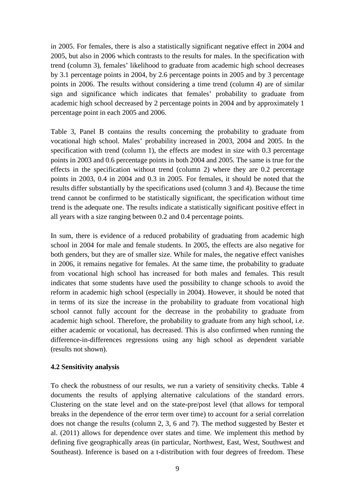in 2005. For females, there is also a statistically significant negative effect in 2004 and 2005, but also in 2006 which contrasts to the results for males. In the specification with trend (column 3), females' likelihood to graduate from academic high school decreases by 3.1 percentage points in 2004, by 2.6 percentage points in 2005 and by 3 percentage points in 2006. The results without considering a time trend (column 4) are of similar sign and significance which indicates that females' probability to graduate from academic high school decreased by 2 percentage points in 2004 and by approximately 1 percentage point in each 2005 and 2006.

Table 3, Panel B contains the results concerning the probability to graduate from vocational high school. Males' probability increased in 2003, 2004 and 2005. In the specification with trend (column 1), the effects are modest in size with 0.3 percentage points in 2003 and 0.6 percentage points in both 2004 and 2005. The same is true for the effects in the specification without trend (column 2) where they are 0.2 percentage points in 2003, 0.4 in 2004 and 0.3 in 2005. For females, it should be noted that the results differ substantially by the specifications used (column 3 and 4). Because the time trend cannot be confirmed to be statistically significant, the specification without time trend is the adequate one. The results indicate a statistically significant positive effect in all years with a size ranging between 0.2 and 0.4 percentage points.

In sum, there is evidence of a reduced probability of graduating from academic high school in 2004 for male and female students. In 2005, the effects are also negative for both genders, but they are of smaller size. While for males, the negative effect vanishes in 2006, it remains negative for females. At the same time, the probability to graduate from vocational high school has increased for both males and females. This result indicates that some students have used the possibility to change schools to avoid the reform in academic high school (especially in 2004). However, it should be noted that in terms of its size the increase in the probability to graduate from vocational high school cannot fully account for the decrease in the probability to graduate from academic high school. Therefore, the probability to graduate from any high school, i.e. either academic or vocational, has decreased. This is also confirmed when running the difference-in-differences regressions using any high school as dependent variable (results not shown).

## **4.2 Sensitivity analysis**

To check the robustness of our results, we run a variety of sensitivity checks. Table 4 documents the results of applying alternative calculations of the standard errors. Clustering on the state level and on the state-pre/post level (that allows for temporal breaks in the dependence of the error term over time) to account for a serial correlation does not change the results (column 2, 3, 6 and 7). The method suggested by Bester et al. (2011) allows for dependence over states and time. We implement this method by defining five geographically areas (in particular, Northwest, East, West, Southwest and Southeast). Inference is based on a t-distribution with four degrees of freedom. These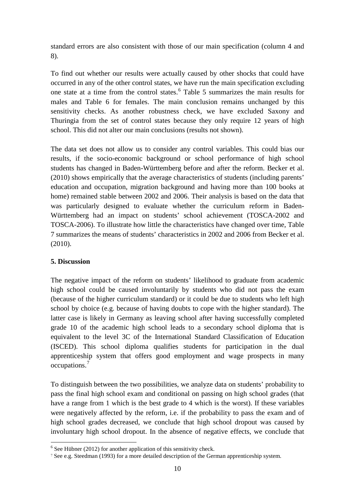standard errors are also consistent with those of our main specification (column 4 and 8).

To find out whether our results were actually caused by other shocks that could have occurred in any of the other control states, we have run the main specification excluding one state at a time from the control states. [6](#page-7-0) Table 5 summarizes the main results for males and Table 6 for females. The main conclusion remains unchanged by this sensitivity checks. As another robustness check, we have excluded Saxony and Thuringia from the set of control states because they only require 12 years of high school. This did not alter our main conclusions (results not shown).

The data set does not allow us to consider any control variables. This could bias our results, if the socio-economic background or school performance of high school students has changed in Baden-Württemberg before and after the reform. Becker et al. (2010) shows empirically that the average characteristics of students (including parents' education and occupation, migration background and having more than 100 books at home) remained stable between 2002 and 2006. Their analysis is based on the data that was particularly designed to evaluate whether the curriculum reform in Baden-Württemberg had an impact on students' school achievement (TOSCA-2002 and TOSCA-2006). To illustrate how little the characteristics have changed over time, Table 7 summarizes the means of students' characteristics in 2002 and 2006 from Becker et al. (2010).

# **5. Discussion**

The negative impact of the reform on students' likelihood to graduate from academic high school could be caused involuntarily by students who did not pass the exam (because of the higher curriculum standard) or it could be due to students who left high school by choice (e.g. because of having doubts to cope with the higher standard). The latter case is likely in Germany as leaving school after having successfully completed grade 10 of the academic high school leads to a secondary school diploma that is equivalent to the level 3C of the International Standard Classification of Education (ISCED). This school diploma qualifies students for participation in the dual apprenticeship system that offers good employment and wage prospects in many occupations.[7](#page-11-0)

To distinguish between the two possibilities, we analyze data on students' probability to pass the final high school exam and conditional on passing on high school grades (that have a range from 1 which is the best grade to 4 which is the worst). If these variables were negatively affected by the reform, i.e. if the probability to pass the exam and of high school grades decreased, we conclude that high school dropout was caused by involuntary high school dropout. In the absence of negative effects, we conclude that

<span id="page-11-1"></span> $6$  See Hübner (2012) for another application of this sensitivity check.

<span id="page-11-0"></span><sup>7</sup> See e.g. Steedman (1993) for a more detailed description of the German apprenticeship system.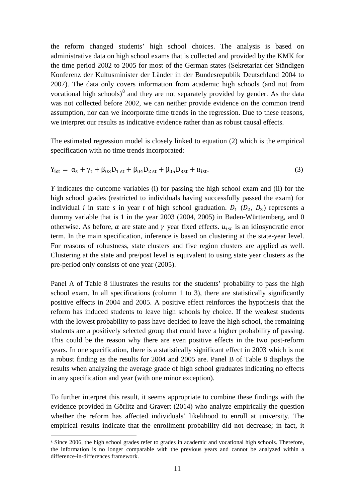the reform changed students' high school choices. The analysis is based on administrative data on high school exams that is collected and provided by the KMK for the time period 2002 to 2005 for most of the German states (Sekretariat der Ständigen Konferenz der Kultusminister der Länder in der Bundesrepublik Deutschland 2004 to 2007). The data only covers information from academic high schools (and not from vocational high schools) $^{8}$  $^{8}$  $^{8}$  and they are not separately provided by gender. As the data was not collected before 2002, we can neither provide evidence on the common trend assumption, nor can we incorporate time trends in the regression. Due to these reasons, we interpret our results as indicative evidence rather than as robust causal effects.

The estimated regression model is closely linked to equation (2) which is the empirical specification with no time trends incorporated:

$$
Y_{\text{ist}} = \alpha_{s} + \gamma_{t} + \beta_{03} D_{1 \text{ st}} + \beta_{04} D_{2 \text{ st}} + \beta_{05} D_{3 \text{ st}} + u_{\text{ist}}.
$$
\n(3)

*Y* indicates the outcome variables (i) for passing the high school exam and (ii) for the high school grades (restricted to individuals having successfully passed the exam) for individual *i* in state *s* in year *t* of high school graduation.  $D_1$  ( $D_2$ ,  $D_3$ ) represents a dummy variable that is 1 in the year 2003 (2004, 2005) in Baden-Württemberg, and 0 otherwise. As before,  $\alpha$  are state and  $\gamma$  year fixed effects.  $u_{ist}$  is an idiosyncratic error term. In the main specification, inference is based on clustering at the state-year level. For reasons of robustness, state clusters and five region clusters are applied as well. Clustering at the state and pre/post level is equivalent to using state year clusters as the pre-period only consists of one year (2005).

Panel A of Table 8 illustrates the results for the students' probability to pass the high school exam. In all specifications (column 1 to 3), there are statistically significantly positive effects in 2004 and 2005. A positive effect reinforces the hypothesis that the reform has induced students to leave high schools by choice. If the weakest students with the lowest probability to pass have decided to leave the high school, the remaining students are a positively selected group that could have a higher probability of passing. This could be the reason why there are even positive effects in the two post-reform years. In one specification, there is a statistically significant effect in 2003 which is not a robust finding as the results for 2004 and 2005 are. Panel B of Table 8 displays the results when analyzing the average grade of high school graduates indicating no effects in any specification and year (with one minor exception).

To further interpret this result, it seems appropriate to combine these findings with the evidence provided in Görlitz and Gravert (2014) who analyze empirically the question whether the reform has affected individuals' likelihood to enroll at university. The empirical results indicate that the enrollment probability did not decrease; in fact, it

<sup>&</sup>lt;sup>8</sup> Since 2006, the high school grades refer to grades in academic and vocational high schools. Therefore, the information is no longer comparable with the previous years and cannot be analyzed within a difference-in-differences framework.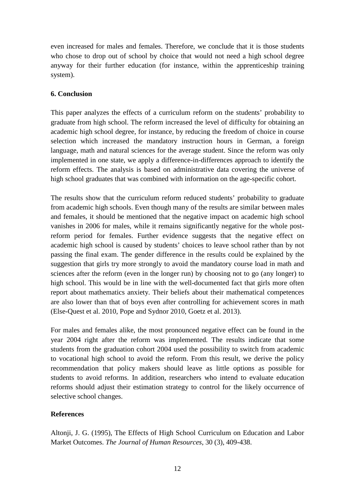even increased for males and females. Therefore, we conclude that it is those students who chose to drop out of school by choice that would not need a high school degree anyway for their further education (for instance, within the apprenticeship training system).

# **6. Conclusion**

This paper analyzes the effects of a curriculum reform on the students' probability to graduate from high school. The reform increased the level of difficulty for obtaining an academic high school degree, for instance, by reducing the freedom of choice in course selection which increased the mandatory instruction hours in German, a foreign language, math and natural sciences for the average student. Since the reform was only implemented in one state, we apply a difference-in-differences approach to identify the reform effects. The analysis is based on administrative data covering the universe of high school graduates that was combined with information on the age-specific cohort.

The results show that the curriculum reform reduced students' probability to graduate from academic high schools. Even though many of the results are similar between males and females, it should be mentioned that the negative impact on academic high school vanishes in 2006 for males, while it remains significantly negative for the whole postreform period for females. Further evidence suggests that the negative effect on academic high school is caused by students' choices to leave school rather than by not passing the final exam. The gender difference in the results could be explained by the suggestion that girls try more strongly to avoid the mandatory course load in math and sciences after the reform (even in the longer run) by choosing not to go (any longer) to high school. This would be in line with the well-documented fact that girls more often report about mathematics anxiety. Their beliefs about their mathematical competences are also lower than that of boys even after controlling for achievement scores in math (Else-Quest et al. 2010, Pope and Sydnor 2010, Goetz et al. 2013).

For males and females alike, the most pronounced negative effect can be found in the year 2004 right after the reform was implemented. The results indicate that some students from the graduation cohort 2004 used the possibility to switch from academic to vocational high school to avoid the reform. From this result, we derive the policy recommendation that policy makers should leave as little options as possible for students to avoid reforms. In addition, researchers who intend to evaluate education reforms should adjust their estimation strategy to control for the likely occurrence of selective school changes.

# **References**

Altonji, J. G. (1995), The Effects of High School Curriculum on Education and Labor Market Outcomes. *The Journal of Human Resources*, 30 (3), 409-438.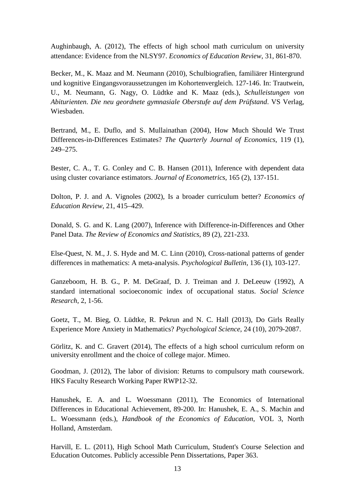Aughinbaugh, A. (2012), The effects of high school math curriculum on university attendance: Evidence from the NLSY97. *Economics of Education Review*, 31, 861-870.

Becker, M., K. Maaz and M. Neumann (2010), Schulbiografien, familiärer Hintergrund und kognitive Eingangsvoraussetzungen im Kohortenvergleich. 127-146. In: Trautwein, U., M. Neumann, G. Nagy, O. Lüdtke and K. Maaz (eds.), *Schulleistungen von Abiturienten*. *Die neu geordnete gymnasiale Oberstufe auf dem Prüfstand*. VS Verlag, Wiesbaden.

Bertrand, M., E. Duflo, and S. Mullainathan (2004), How Much Should We Trust Differences-in-Differences Estimates? *The Quarterly Journal of Economics*, 119 (1), 249–275.

Bester, C. A., T. G. Conley and C. B. Hansen (2011), Inference with dependent data using cluster covariance estimators. *Journal of Econometrics*, 165 (2), 137-151.

Dolton, P. J. and A. Vignoles (2002), Is a broader curriculum better? *Economics of Education Review*, 21, 415–429.

Donald, S. G. and K. Lang (2007), Inference with Difference-in-Differences and Other Panel Data. *The Review of Economics and Statistics*, 89 (2), 221-233.

Else-Quest, N. M., J. S. Hyde and M. C. Linn (2010), Cross-national patterns of gender differences in mathematics: A meta-analysis. *Psychological Bulletin*, 136 (1), 103-127.

Ganzeboom, H. B. G., P. M. DeGraaf, D. J. Treiman and J. DeLeeuw (1992), A standard international socioeconomic index of occupational status. *Social Science Research*, 2, 1-56.

Goetz, T., M. Bieg, O. Lüdtke, R. Pekrun and N. C. Hall (2013), Do Girls Really Experience More Anxiety in Mathematics? *Psychological Science*, 24 (10), 2079-2087.

Görlitz, K. and C. Gravert (2014), The effects of a high school curriculum reform on university enrollment and the choice of college major. Mimeo.

Goodman, J. (2012), The labor of division: Returns to compulsory math coursework. HKS Faculty Research Working Paper RWP12-32.

Hanushek, E. A. and L. Woessmann (2011), The Economics of International Differences in Educational Achievement, 89-200. In: Hanushek, E. A., S. Machin and L. Woessmann (eds.), *Handbook of the Economics of Education*, VOL 3, North Holland, Amsterdam.

Harvill, E. L. (2011), High School Math Curriculum, Student's Course Selection and Education Outcomes. Publicly accessible Penn Dissertations, Paper 363.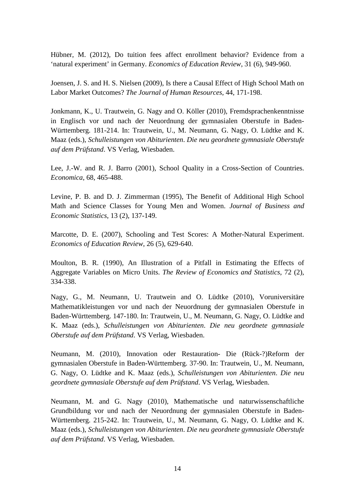Hübner, M. (2012), Do tuition fees affect enrollment behavior? Evidence from a 'natural experiment' in Germany. *Economics of Education Review*, 31 (6), 949-960.

Joensen, J. S. and H. S. Nielsen (2009), Is there a Causal Effect of High School Math on Labor Market Outcomes? *The Journal of Human Resources*, 44, 171-198.

Jonkmann, K., U. Trautwein, G. Nagy and O. Köller (2010), Fremdsprachenkenntnisse in Englisch vor und nach der Neuordnung der gymnasialen Oberstufe in Baden-Württemberg. 181-214. In: Trautwein, U., M. Neumann, G. Nagy, O. Lüdtke and K. Maaz (eds.), *Schulleistungen von Abiturienten*. *Die neu geordnete gymnasiale Oberstufe auf dem Prüfstand*. VS Verlag, Wiesbaden.

Lee, J.-W. and R. J. Barro (2001), School Quality in a Cross-Section of Countries. *Economica*, 68, 465-488.

Levine, P. B. and D. J. Zimmerman (1995), The Benefit of Additional High School Math and Science Classes for Young Men and Women. *Journal of Business and Economic Statistics*, 13 (2), 137-149.

Marcotte, D. E. (2007), Schooling and Test Scores: A Mother-Natural Experiment. *Economics of Education Review*, 26 (5), 629-640.

Moulton, B. R. (1990), An Illustration of a Pitfall in Estimating the Effects of Aggregate Variables on Micro Units. *The Review of Economics and Statistics*, 72 (2), 334-338.

Nagy, G., M. Neumann, U. Trautwein and O. Lüdtke (2010), Voruniversitäre Mathematikleistungen vor und nach der Neuordnung der gymnasialen Oberstufe in Baden-Württemberg. 147-180. In: Trautwein, U., M. Neumann, G. Nagy, O. Lüdtke and K. Maaz (eds.), *Schulleistungen von Abiturienten*. *Die neu geordnete gymnasiale Oberstufe auf dem Prüfstand*. VS Verlag, Wiesbaden.

Neumann, M. (2010), Innovation oder Restauration- Die (Rück-?)Reform der gymnasialen Oberstufe in Baden-Württemberg. 37-90. In: Trautwein, U., M. Neumann, G. Nagy, O. Lüdtke and K. Maaz (eds.), *Schulleistungen von Abiturienten*. *Die neu geordnete gymnasiale Oberstufe auf dem Prüfstand*. VS Verlag, Wiesbaden.

Neumann, M. and G. Nagy (2010), Mathematische und naturwissenschaftliche Grundbildung vor und nach der Neuordnung der gymnasialen Oberstufe in Baden-Württemberg. 215-242. In: Trautwein, U., M. Neumann, G. Nagy, O. Lüdtke and K. Maaz (eds.), *Schulleistungen von Abiturienten*. *Die neu geordnete gymnasiale Oberstufe auf dem Prüfstand*. VS Verlag, Wiesbaden.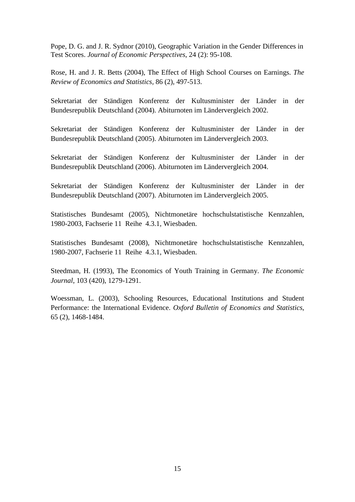Pope, D. G. and J. R. Sydnor (2010), Geographic Variation in the Gender Differences in Test Scores. *Journal of Economic Perspectives*, 24 (2): 95-108.

Rose, H. and J. R. Betts (2004), The Effect of High School Courses on Earnings. *The Review of Economics and Statistics,* 86 (2), 497-513.

Sekretariat der Ständigen Konferenz der Kultusminister der Länder in der Bundesrepublik Deutschland (2004). Abiturnoten im Ländervergleich 2002.

Sekretariat der Ständigen Konferenz der Kultusminister der Länder in der Bundesrepublik Deutschland (2005). Abiturnoten im Ländervergleich 2003.

Sekretariat der Ständigen Konferenz der Kultusminister der Länder in der Bundesrepublik Deutschland (2006). Abiturnoten im Ländervergleich 2004.

Sekretariat der Ständigen Konferenz der Kultusminister der Länder in der Bundesrepublik Deutschland (2007). Abiturnoten im Ländervergleich 2005.

Statistisches Bundesamt (2005), Nichtmonetäre hochschulstatistische Kennzahlen, 1980-2003, Fachserie 11 Reihe 4.3.1, Wiesbaden.

Statistisches Bundesamt (2008), Nichtmonetäre hochschulstatistische Kennzahlen, 1980-2007, Fachserie 11 Reihe 4.3.1, Wiesbaden.

Steedman, H. (1993), The Economics of Youth Training in Germany. *The Economic Journal*, 103 (420), 1279-1291.

Woessman, L. (2003), Schooling Resources, Educational Institutions and Student Performance: the International Evidence. *Oxford Bulletin of Economics and Statistics*, 65 (2), 1468-1484.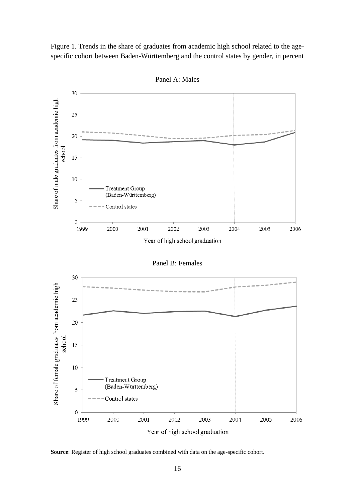Figure 1. Trends in the share of graduates from academic high school related to the agespecific cohort between Baden-Württemberg and the control states by gender, in percent



Panel A: Males

Panel B: Females



**Source**: Register of high school graduates combined with data on the age-specific cohort.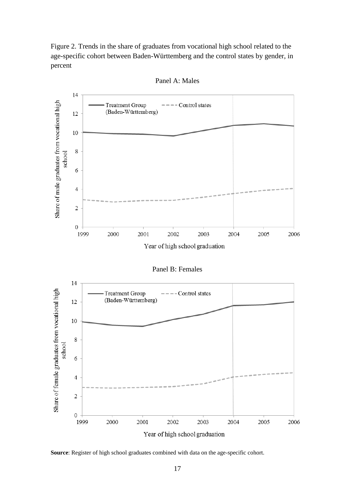Figure 2. Trends in the share of graduates from vocational high school related to the age-specific cohort between Baden-Württemberg and the control states by gender, in percent



Panel A: Males

Panel B: Females



**Source**: Register of high school graduates combined with data on the age-specific cohort.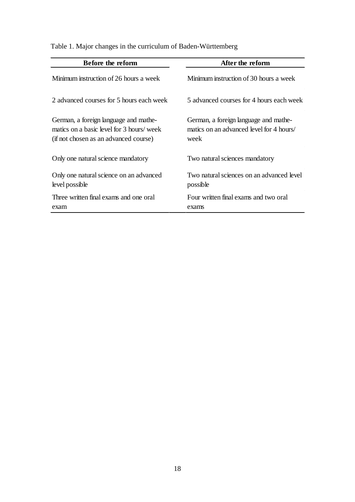| Before the reform                                                                                                           | After the reform                                                                          |
|-----------------------------------------------------------------------------------------------------------------------------|-------------------------------------------------------------------------------------------|
| Minimum instruction of 26 hours a week                                                                                      | Minimum instruction of 30 hours a week                                                    |
| 2 advanced courses for 5 hours each week                                                                                    | 5 advanced courses for 4 hours each week                                                  |
| German, a foreign language and mathe-<br>matics on a basic level for 3 hours/ week<br>(if not chosen as an advanced course) | German, a foreign language and mathe-<br>matics on an advanced level for 4 hours/<br>week |
| Only one natural science mandatory                                                                                          | Two natural sciences mandatory                                                            |
| Only one natural science on an advanced<br>level possible                                                                   | Two natural sciences on an advanced level<br>possible                                     |
| Three written final exams and one oral<br>exam                                                                              | Four written final exams and two oral<br>exams                                            |

# Table 1. Major changes in the curriculum of Baden-Württemberg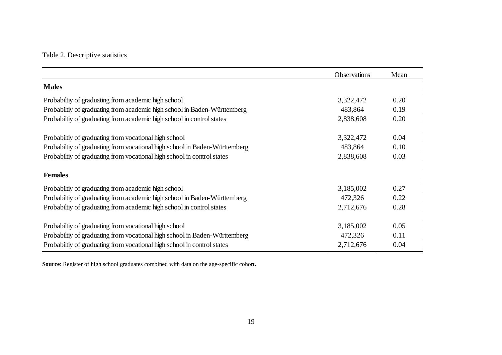# Table 2. Descriptive statistics

|                                                                            | <b>Observations</b> | Mean |
|----------------------------------------------------------------------------|---------------------|------|
| <b>Males</b>                                                               |                     |      |
| Probability of graduating from academic high school                        | 3,322,472           | 0.20 |
| Probability of graduating from academic high school in Baden-Württemberg   | 483,864             | 0.19 |
| Probabiltiy of graduating from academic high school in control states      | 2,838,608           | 0.20 |
| Probability of graduating from vocational high school                      | 3,322,472           | 0.04 |
| Probabiltiy of graduating from vocational high school in Baden-Württemberg | 483,864             | 0.10 |
| Probabiltiy of graduating from vocational high school in control states    | 2,838,608           | 0.03 |
| <b>Females</b>                                                             |                     |      |
| Probability of graduating from academic high school                        | 3,185,002           | 0.27 |
| Probabiltiy of graduating from academic high school in Baden-Württemberg   | 472,326             | 0.22 |
| Probability of graduating from academic high school in control states      | 2,712,676           | 0.28 |
| Probabiltiy of graduating from vocational high school                      | 3,185,002           | 0.05 |
| Probabiltiy of graduating from vocational high school in Baden-Württemberg | 472,326             | 0.11 |
| Probabiltiy of graduating from vocational high school in control states    | 2,712,676           | 0.04 |

**Source**: Register of high school graduates combined with data on the age-specific cohort.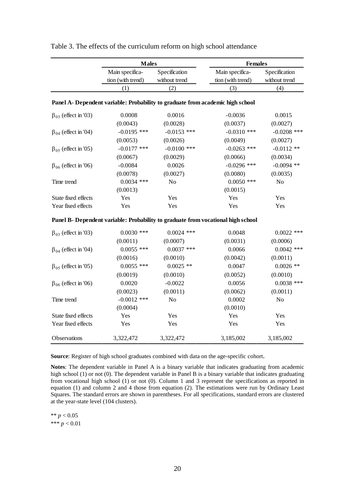|                              | <b>Males</b>                                                                   |               | <b>Females</b>                                                                   |                |
|------------------------------|--------------------------------------------------------------------------------|---------------|----------------------------------------------------------------------------------|----------------|
|                              | Main specifica-                                                                | Specification | Main specifica-                                                                  | Specification  |
|                              | tion (with trend)                                                              | without trend | tion (with trend)                                                                | without trend  |
|                              | (1)                                                                            | (2)           | (3)                                                                              | (4)            |
|                              | Panel A- Dependent variable: Probability to graduate from academic high school |               |                                                                                  |                |
| $\beta_{03}$ (effect in '03) | 0.0008                                                                         | 0.0016        | $-0.0036$                                                                        | 0.0015         |
|                              | (0.0043)                                                                       | (0.0028)      | (0.0037)                                                                         | (0.0027)       |
| $\beta_{04}$ (effect in '04) | $-0.0195$ ***                                                                  | $-0.0153$ *** | $-0.0310$ ***                                                                    | $-0.0208$ ***  |
|                              | (0.0053)                                                                       | (0.0026)      | (0.0049)                                                                         | (0.0027)       |
| $\beta_{05}$ (effect in '05) | $-0.0177$ ***                                                                  | $-0.0100$ *** | $-0.0263$ ***                                                                    | $-0.0112**$    |
|                              | (0.0067)                                                                       | (0.0029)      | (0.0066)                                                                         | (0.0034)       |
| $\beta_{06}$ (effect in '06) | $-0.0084$                                                                      | 0.0026        | $-0.0296$ ***                                                                    | $-0.0094$ **   |
|                              | (0.0078)                                                                       | (0.0027)      | (0.0080)                                                                         | (0.0035)       |
| Time trend                   | $0.0034$ ***                                                                   | No            | $0.0050$ ***                                                                     | No             |
|                              | (0.0013)                                                                       |               | (0.0015)                                                                         |                |
| State fixed effects          | Yes                                                                            | Yes           | Yes                                                                              | Yes            |
| Year fixed effects           | Yes                                                                            | Yes           | Yes                                                                              | Yes            |
|                              |                                                                                |               | Panel B- Dependent variable: Probability to graduate from vocational high school |                |
| $\beta_{03}$ (effect in '03) | $0.0030$ ***                                                                   | $0.0024$ ***  | 0.0048                                                                           | $0.0022$ ***   |
|                              | (0.0011)                                                                       | (0.0007)      | (0.0031)                                                                         | (0.0006)       |
| $\beta_{04}$ (effect in '04) | $0.0055$ ***                                                                   | $0.0037$ ***  | 0.0066                                                                           | $0.0042$ ***   |
|                              | (0.0016)                                                                       | (0.0010)      | (0.0042)                                                                         | (0.0011)       |
| $\beta_{05}$ (effect in '05) | $0.0055$ ***                                                                   | $0.0025$ **   | 0.0047                                                                           | $0.0026$ **    |
|                              | (0.0019)                                                                       | (0.0010)      | (0.0052)                                                                         | (0.0010)       |
| $\beta_{06}$ (effect in '06) | 0.0020                                                                         | $-0.0022$     | 0.0056                                                                           | $0.0038$ ***   |
|                              | (0.0023)                                                                       | (0.0011)      | (0.0062)                                                                         | (0.0011)       |
| Time trend                   | $-0.0012$ ***                                                                  | No            | 0.0002                                                                           | N <sub>o</sub> |
|                              | (0.0004)                                                                       |               | (0.0010)                                                                         |                |
| State fixed effects          | Yes                                                                            | Yes           | Yes                                                                              | Yes            |
| Year fixed effects           | Yes                                                                            | Yes           | Yes                                                                              | Yes            |
| Observations                 | 3,322,472                                                                      | 3,322,472     | 3,185,002                                                                        | 3,185,002      |

Table 3. The effects of the curriculum reform on high school attendance

**Source**: Register of high school graduates combined with data on the age-specific cohort.

**Notes**: The dependent variable in Panel A is a binary variable that indicates graduating from academic high school (1) or not (0). The dependent variable in Panel B is a binary variable that indicates graduating from vocational high school (1) or not (0). Column 1 and 3 represent the specifications as reported in equation (1) and column 2 and 4 those from equation (2). The estimations were run by Ordinary Least Squares. The standard errors are shown in parentheses. For all specifications, standard errors are clustered at the year-state level (104 clusters).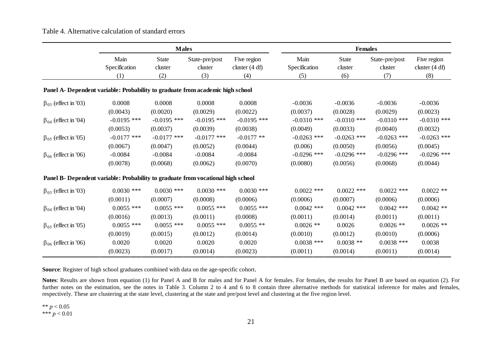## Table 4. Alternative calculation of standard errors

|                                                                                  |                       | <b>Males</b>            |                           |                                 |                       | <b>Females</b>          |                           |                                 |
|----------------------------------------------------------------------------------|-----------------------|-------------------------|---------------------------|---------------------------------|-----------------------|-------------------------|---------------------------|---------------------------------|
|                                                                                  | Main<br>Specification | <b>State</b><br>cluster | State-pre/post<br>cluster | Five region<br>cluster $(4 df)$ | Main<br>Specification | <b>State</b><br>cluster | State-pre/post<br>cluster | Five region<br>cluster $(4 df)$ |
|                                                                                  | (1)                   | (2)                     | (3)                       | (4)                             | (5)                   | (6)                     | (7)                       | (8)                             |
| Panel A- Dependent variable: Probability to graduate from academic high school   |                       |                         |                           |                                 |                       |                         |                           |                                 |
| $\beta_{03}$ (effect in '03)                                                     | 0.0008                | 0.0008                  | 0.0008                    | 0.0008                          | $-0.0036$             | $-0.0036$               | $-0.0036$                 | $-0.0036$                       |
|                                                                                  | (0.0043)              | (0.0020)                | (0.0029)                  | (0.0022)                        | (0.0037)              | (0.0028)                | (0.0029)                  | (0.0023)                        |
| $\beta_{04}$ (effect in '04)                                                     | $-0.0195$ ***         | $-0.0195$ ***           | $-0.0195$ ***             | $-0.0195$ ***                   | $-0.0310$ ***         | $-0.0310$ ***           | $-0.0310$ ***             | $-0.0310$ ***                   |
|                                                                                  | (0.0053)              | (0.0037)                | (0.0039)                  | (0.0038)                        | (0.0049)              | (0.0033)                | (0.0040)                  | (0.0032)                        |
| $\beta_{05}$ (effect in '05)                                                     | $-0.0177$ ***         | $-0.0177$ ***           | $-0.0177$ ***             | $-0.0177**$                     | $-0.0263$ ***         | $-0.0263$ ***           | $-0.0263$ ***             | $-0.0263$ ***                   |
|                                                                                  | (0.0067)              | (0.0047)                | (0.0052)                  | (0.0044)                        | (0.006)               | (0.0050)                | (0.0056)                  | (0.0045)                        |
| $\beta_{06}$ (effect in '06)                                                     | $-0.0084$             | $-0.0084$               | $-0.0084$                 | $-0.0084$                       | $-0.0296$ ***         | $-0.0296$ ***           | $-0.0296$ ***             | $-0.0296$ ***                   |
|                                                                                  | (0.0078)              | (0.0068)                | (0.0062)                  | (0.0070)                        | (0.0080)              | (0.0056)                | (0.0068)                  | (0.0044)                        |
| Panel B- Dependent variable: Probability to graduate from vocational high school |                       |                         |                           |                                 |                       |                         |                           |                                 |
| $\beta_{03}$ (effect in '03)                                                     | $0.0030$ ***          | $0.0030$ ***            | $0.0030$ ***              | $0.0030$ ***                    | $0.0022$ ***          | $0.0022$ ***            | $0.0022$ ***              | $0.0022$ **                     |
|                                                                                  | (0.0011)              | (0.0007)                | (0.0008)                  | (0.0006)                        | (0.0006)              | (0.0007)                | (0.0006)                  | (0.0006)                        |
| $\beta_{04}$ (effect in '04)                                                     | $0.0055$ ***          | $0.0055$ ***            | $0.0055$ ***              | $0.0055$ ***                    | $0.0042$ ***          | $0.0042$ ***            | $0.0042$ ***              | $0.0042$ **                     |
|                                                                                  | (0.0016)              | (0.0013)                | (0.0011)                  | (0.0008)                        | (0.0011)              | (0.0014)                | (0.0011)                  | (0.0011)                        |
| $\beta_{05}$ (effect in '05)                                                     | $0.0055$ ***          | $0.0055$ ***            | $0.0055$ ***              | $0.0055$ **                     | $0.0026$ **           | 0.0026                  | $0.0026$ **               | $0.0026$ **                     |
|                                                                                  | (0.0019)              | (0.0015)                | (0.0012)                  | (0.0014)                        | (0.0010)              | (0.0012)                | (0.0010)                  | (0.0006)                        |
| $\beta_{06}$ (effect in '06)                                                     | 0.0020                | 0.0020                  | 0.0020                    | 0.0020                          | $0.0038$ ***          | $0.0038**$              | $0.0038$ ***              | 0.0038                          |
|                                                                                  | (0.0023)              | (0.0017)                | (0.0014)                  | (0.0023)                        | (0.0011)              | (0.0014)                | (0.0011)                  | (0.0014)                        |

**Source**: Register of high school graduates combined with data on the age-specific cohort.

**Notes**: Results are shown from equation (1) for Panel A and B for males and for Panel A for females. For females, the results for Panel B are based on equation (2). For further notes on the estimation, see the notes in Table 3. Column 2 to 4 and 6 to 8 contain three alternative methods for statistical inference for males and females, respectively. These are clustering at the state level, clustering at the state and pre/post level and clustering at the five region level.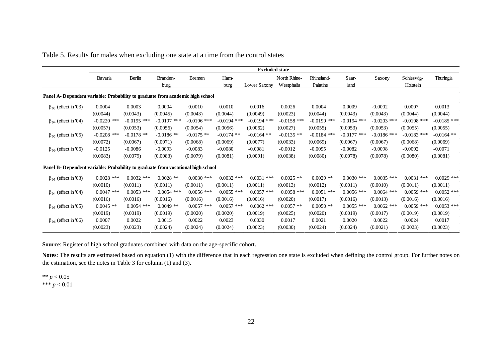|                                                                                  | <b>Excluded state</b> |               |                  |               |               |               |                            |                        |               |               |                        |               |
|----------------------------------------------------------------------------------|-----------------------|---------------|------------------|---------------|---------------|---------------|----------------------------|------------------------|---------------|---------------|------------------------|---------------|
|                                                                                  | Bavaria               | Berlin        | Branden-<br>burg | <b>Bremen</b> | Ham-<br>burg  | Lower Saxony  | North Rhine-<br>Westphalia | Rhineland-<br>Palatine | Saar-<br>land | Saxony        | Schleswig-<br>Holstein | Thuringia     |
| Panel A- Dependent variable: Probability to graduate from academic high school   |                       |               |                  |               |               |               |                            |                        |               |               |                        |               |
| $\beta_{03}$ (effect in '03)                                                     | 0.0004                | 0.0003        | 0.0004           | 0.0010        | 0.0010        | 0.0016        | 0.0026                     | 0.0004                 | 0.0009        | $-0.0002$     | 0.0007                 | 0.0013        |
|                                                                                  | (0.0044)              | (0.0043)      | (0.0045)         | (0.0043)      | (0.0044)      | (0.0049)      | (0.0023)                   | (0.0044)               | (0.0043)      | (0.0043)      | (0.0044)               | (0.0044)      |
| $\beta_{04}$ (effect in '04)                                                     | $-0.0220$ ***         | $-0.0195$ *** | $-0.0197$ ***    | $-0.0196$ *** | $-0.0194$ *** | $-0.0194$ *** | $-0.0158$ ***              | $-0.0199$ ***          | $-0.0194$ *** | $-0.0203$ *** | $-0.0198$ ***          | $-0.0185$ *** |
|                                                                                  | (0.0057)              | (0.0053)      | (0.0056)         | (0.0054)      | (0.0056)      | (0.0062)      | (0.0027)                   | (0.0055)               | (0.0053)      | (0.0053)      | (0.0055)               | (0.0055)      |
| $\beta_{05}$ (effect in '05)                                                     | $-0.0208$ ***         | $-0.0178$ **  | $-0.0186$ **     | $-0.0175$ **  | $-0.0174$ **  | $-0.0164$ **  | $-0.0135$ **               | $-0.0184$ ***          | $-0.0177$ *** | $-0.0186$ *** | $-0.0183$ ***          | $-0.0164$ **  |
|                                                                                  | (0.0072)              | (0.0067)      | (0.0071)         | (0.0068)      | (0.0069)      | (0.0077)      | (0.0033)                   | (0.0069)               | (0.0067)      | (0.0067)      | (0.0068)               | (0.0069)      |
| $\beta_{06}$ (effect in '06)                                                     | $-0.0125$             | $-0.0086$     | $-0.0093$        | $-0.0083$     | $-0.0080$     | $-0.0081$     | $-0.0012$                  | $-0.0095$              | $-0.0082$     | $-0.0098$     | $-0.0092$              | $-0.0071$     |
|                                                                                  | (0.0083)              | (0.0079)      | (0.0083)         | (0.0079)      | (0.0081)      | (0.0091)      | (0.0038)                   | (0.0080)               | (0.0078)      | (0.0078)      | (0.0080)               | (0.0081)      |
| Panel B- Dependent variable: Probability to graduate from vocational high school |                       |               |                  |               |               |               |                            |                        |               |               |                        |               |
| $\beta_{03}$ (effect in '03)                                                     | $0.0028$ ***          | $0.0032$ ***  | $0.0028$ **      | $0.0030$ ***  | $0.0032$ ***  | $0.0031$ ***  | $0.0025$ **                | $0.0029$ **            | $0.0030$ ***  | $0.0035$ ***  | $0.0031$ ***           | $0.0029$ ***  |
|                                                                                  | (0.0010)              | (0.0011)      | (0.0011)         | (0.0011)      | (0.0011)      | (0.0011)      | (0.0013)                   | (0.0012)               | (0.0011)      | (0.0010)      | (0.0011)               | (0.0011)      |
| $\beta_{04}$ (effect in '04)                                                     | 0.0047<br>***         | $0.0053$ ***  | $0.0054$ ***     | $0.0056$ ***  | $0.0055$ ***  | $0.0057$ ***  | $0.0058$ ***               | $0.0051$ ***           | $0.0056$ ***  | $0.0064$ ***  | $0.0059$ ***           | $0.0052$ ***  |
|                                                                                  | (0.0016)              | (0.0016)      | (0.0016)         | (0.0016)      | (0.0016)      | (0.0016)      | (0.0020)                   | (0.0017)               | (0.0016)      | (0.0013)      | (0.0016)               | (0.0016)      |
| $\beta_{05}$ (effect in '05)                                                     | $0.0045$ **           | $0.0054$ ***  | $0.0049$ **      | $0.0057$ ***  | $0.0057$ ***  | $0.0062$ ***  | $0.0057$ **                | $0.0050$ **            | $0.0055$ ***  | $0.0062$ ***  | $0.0059$ ***           | $0.0053$ ***  |
|                                                                                  | (0.0019)              | (0.0019)      | (0.0019)         | (0.0020)      | (0.0020)      | (0.0019)      | (0.0025)                   | (0.0020)               | (0.0019)      | (0.0017)      | (0.0019)               | (0.0019)      |
| $\beta_{06}$ (effect in '06)                                                     | 0.0007                | 0.0022        | 0.0015           | 0.0022        | 0.0023        | 0.0030        | 0.0017                     | 0.0021                 | 0.0020        | 0.0022        | 0.0024                 | 0.0017        |
|                                                                                  | (0.0023)              | (0.0023)      | (0.0024)         | (0.0024)      | (0.0024)      | (0.0023)      | (0.0030)                   | (0.0024)               | (0.0024)      | (0.0021)      | (0.0023)               | (0.0023)      |

Table 5. Results for males when excluding one state at a time from the control states

**Source**: Register of high school graduates combined with data on the age-specific cohort.

**Notes**: The results are estimated based on equation (1) with the difference that in each regression one state is excluded when defining the control group. For further notes on the estimation, see the notes in Table 3 for column (1) and (3).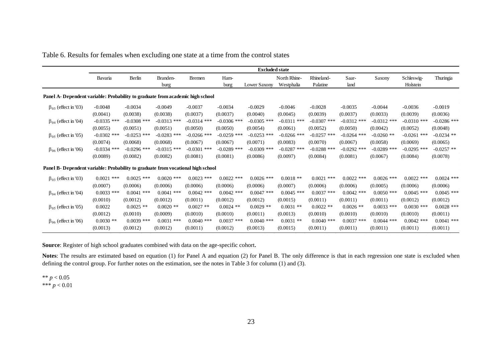| Table 6. Results for females when excluding one state at a time from the control states |  |
|-----------------------------------------------------------------------------------------|--|
|-----------------------------------------------------------------------------------------|--|

|                                                                                  | <b>Excluded state</b> |               |               |               |               |               |               |                        |               |               |               |               |
|----------------------------------------------------------------------------------|-----------------------|---------------|---------------|---------------|---------------|---------------|---------------|------------------------|---------------|---------------|---------------|---------------|
|                                                                                  | Bavaria               | Berlin        | Branden-      | Bremen        | Ham-          |               | North Rhine-  | Rhineland-<br>Palatine | Saar-         | Saxony        | Schleswig-    | Thuringia     |
|                                                                                  |                       |               | burg          |               | burg          | Lower Saxony  | Westphalia    |                        | land          |               | Holstein      |               |
| Panel A- Dependent variable: Probability to graduate from academic high school   |                       |               |               |               |               |               |               |                        |               |               |               |               |
| $\beta_{03}$ (effect in '03)                                                     | $-0.0048$             | $-0.0034$     | $-0.0049$     | $-0.0037$     | $-0.0034$     | $-0.0029$     | $-0.0046$     | $-0.0028$              | $-0.0035$     | $-0.0044$     | $-0.0036$     | $-0.0019$     |
|                                                                                  | (0.0041)              | (0.0038)      | (0.0038)      | (0.0037)      | (0.0037)      | (0.0040)      | (0.0045)      | (0.0039)               | (0.0037)      | (0.0033)      | (0.0039)      | (0.0036)      |
| $\beta_{04}$ (effect in '04)                                                     | $-0.0335$ ***         | $-0.0308$ *** | $-0.0313$ *** | $-0.0314$ *** | $-0.0306$ *** | $-0.0305$ *** | $-0.0311$ *** | $-0.0307$ ***          | $-0.0312$ *** | $-0.0312$ *** | $-0.0310$ *** | $-0.0286$ *** |
|                                                                                  | (0.0055)              | (0.0051)      | (0.0051)      | (0.0050)      | (0.0050)      | (0.0054)      | (0.0061)      | (0.0052)               | (0.0050)      | (0.0042)      | (0.0052)      | (0.0048)      |
| $\beta_{05}$ (effect in '05)                                                     | $-0.0302$ ***         | $-0.0253$ *** | $-0.0283$ *** | $-0.0266$ *** | $-0.0259$ *** | $-0.0253$ *** | $-0.0266$ *** | $-0.0257$ ***          | $-0.0264$ *** | $-0.0260$ **  | $-0.0261$ *** | $-0.0234$ **  |
|                                                                                  | (0.0074)              | (0.0068)      | (0.0068)      | (0.0067)      | (0.0067)      | (0.0071)      | (0.0083)      | (0.0070)               | (0.0067)      | (0.0058)      | (0.0069)      | (0.0065)      |
| $\beta_{06}$ (effect in '06)                                                     | $-0.0334$ ***         | $-0.0296$ *** | $-0.0315$ *** | $-0.0301$ *** | $-0.0289$ *** | $-0.0309$ *** | $-0.0287$ *** | $-0.0288$ ***          | $-0.0292$ *** | $-0.0289$ *** | $-0.0295$ *** | $-0.0257$ **  |
|                                                                                  | (0.0089)              | (0.0082)      | (0.0082)      | (0.0081)      | (0.0081)      | (0.0086)      | (0.0097)      | (0.0084)               | (0.0081)      | (0.0067)      | (0.0084)      | (0.0078)      |
| Panel B- Dependent variable: Probability to graduate from vocational high school |                       |               |               |               |               |               |               |                        |               |               |               |               |
| $\beta_{03}$ (effect in '03)                                                     | $0.0021$ ***          | $0.0025$ ***  | $0.0020$ ***  | $0.0023$ ***  | $0.0022$ ***  | $0.0026$ ***  | $0.0018$ **   | $0.0021$ ***           | $0.0022$ ***  | $0.0026$ ***  | $0.0022$ ***  | $0.0024$ ***  |
|                                                                                  | (0.0007)              | (0.0006)      | (0.0006)      | (0.0006)      | (0.0006)      | (0.0006)      | (0.0007)      | (0.0006)               | (0.0006)      | (0.0005)      | (0.0006)      | (0.0006)      |
| $\beta_{04}$ (effect in '04)                                                     | $0.0033$ ***          | $0.0041$ ***  | $0.0041$ ***  | $0.0042$ ***  | $0.0042$ ***  | $0.0047$ ***  | $0.0045$ ***  | $0.0037$ ***           | $0.0042$ ***  | $0.0050$ ***  | $0.0045$ ***  | $0.0045$ ***  |
|                                                                                  | (0.0010)              | (0.0012)      | (0.0012)      | (0.0011)      | (0.0012)      | (0.0012)      | (0.0015)      | (0.0011)               | (0.0011)      | (0.0011)      | (0.0012)      | (0.0012)      |
| $\beta_{05}$ (effect in '05)                                                     | 0.0022                | $0.0025$ **   | $0.0020$ **   | $0.0027$ **   | $0.0024$ **   | $0.0029$ **   | $0.0031$ **   | $0.0022$ **            | $0.0026$ **   | $0.0033$ ***  | $0.0030$ ***  | $0.0028$ ***  |
|                                                                                  | (0.0012)              | (0.0010)      | (0.0009)      | (0.0010)      | (0.0010)      | (0.0011)      | (0.0013)      | (0.0010)               | (0.0010)      | (0.0010)      | (0.0010)      | (0.0011)      |
| $\beta_{06}$ (effect in '06)                                                     | $0.0030**$            | $0.0039$ ***  | $0.0031$ ***  | $0.0040$ ***  | $0.0037$ ***  | $0.0040$ ***  | $0.0031$ **   | $0.0040$ ***           | $0.0037$ ***  | $0.0044$ ***  | $0.0042$ ***  | $0.0041$ ***  |
|                                                                                  | (0.0013)              | (0.0012)      | (0.0012)      | (0.0011)      | (0.0012)      | (0.0013)      | (0.0015)      | (0.0011)               | (0.0011)      | (0.0011)      | (0.0011)      | (0.0011)      |

**Source**: Register of high school graduates combined with data on the age-specific cohort.

**Notes**: The results are estimated based on equation (1) for Panel A and equation (2) for Panel B. The only difference is that in each regression one state is excluded when defining the control group. For further notes on the estimation, see the notes in Table 3 for column (1) and (3).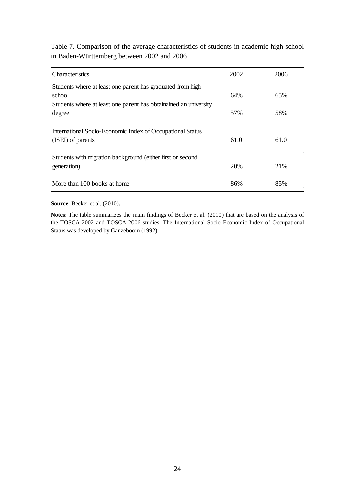Table 7. Comparison of the average characteristics of students in academic high school in Baden-Württemberg between 2002 and 2006

| Characteristics                                                                | 2002 | 2006 |
|--------------------------------------------------------------------------------|------|------|
| Students where at least one parent has graduated from high                     |      |      |
| school                                                                         | 64%  | 65%  |
| Students where at least one parent has obtainained an university<br>degree     | 57%  | 58%  |
| International Socio-Economic Index of Occupational Status<br>(ISEI) of parents | 61.0 | 61.0 |
| Students with migration background (either first or second<br>generation)      | 20%  | 21\% |
| More than 100 books at home                                                    | 86%  | 85%  |

**Source**: Becker et al. (2010).

**Notes**: The table summarizes the main findings of Becker et al. (2010) that are based on the analysis of the TOSCA-2002 and TOSCA-2006 studies. The International Socio-Economic Index of Occupational Status was developed by Ganzeboom (1992).